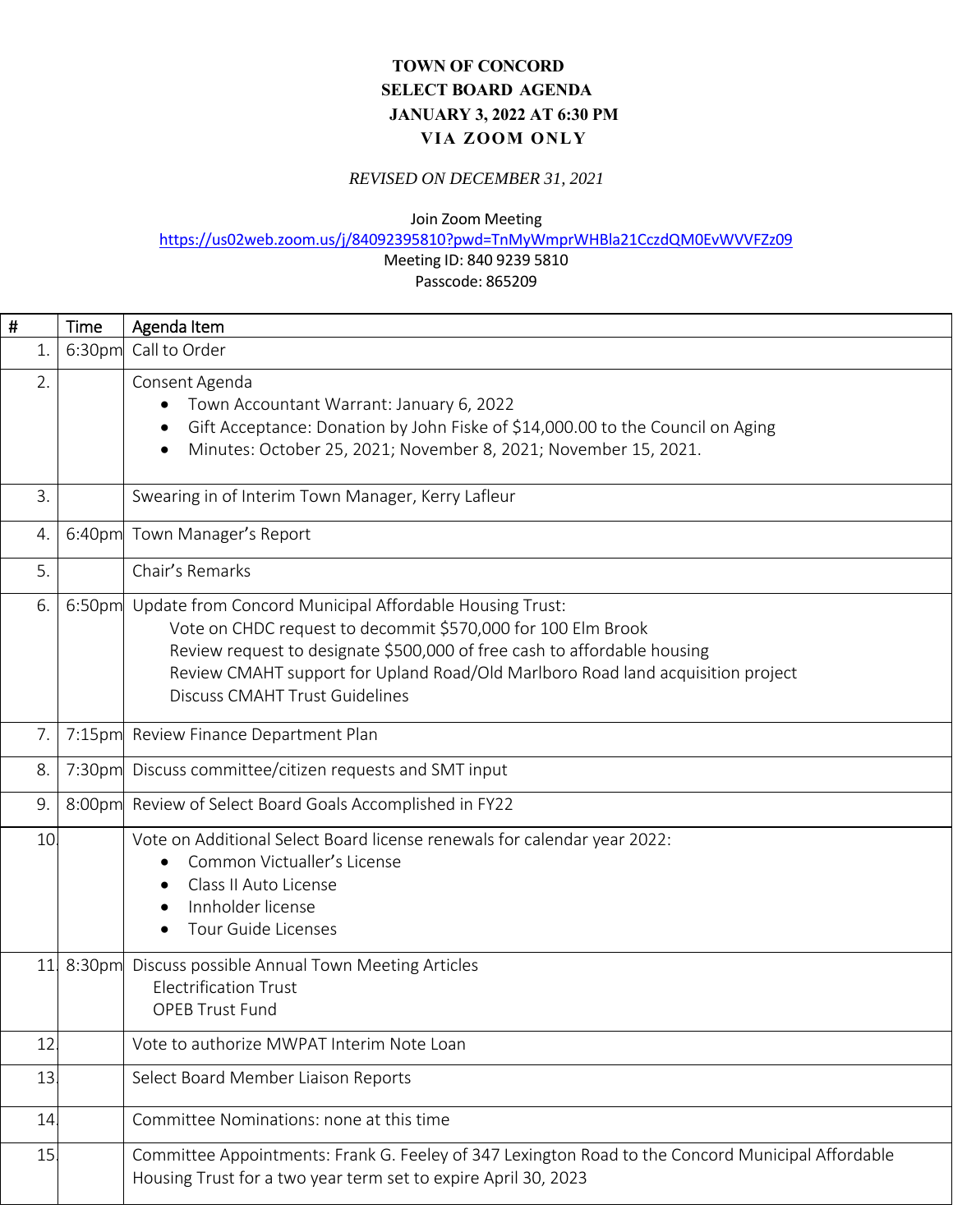## **TOWN OF CONCORD SELECT BOARD AGENDA JANUARY 3, 2022 AT 6:30 PM VIA ZOOM ONLY**

## *REVISED ON DECEMBER 31, 2021*

Join Zoom Meeting

https://us02web.zoom.us/j/84092395810?pwd=TnMyWmprWHBla21CczdQM0EvWVVFZz09

## Meeting ID: 840 9239 5810

Passcode: 865209

| #  | <b>Time</b>        | Agenda Item                                                                                                                                                                                                                                                                                                                     |
|----|--------------------|---------------------------------------------------------------------------------------------------------------------------------------------------------------------------------------------------------------------------------------------------------------------------------------------------------------------------------|
| 1. | 6:30pm             | Call to Order                                                                                                                                                                                                                                                                                                                   |
| 2. |                    | Consent Agenda<br>Town Accountant Warrant: January 6, 2022<br>Gift Acceptance: Donation by John Fiske of \$14,000.00 to the Council on Aging<br>Minutes: October 25, 2021; November 8, 2021; November 15, 2021.                                                                                                                 |
| 3. |                    | Swearing in of Interim Town Manager, Kerry Lafleur                                                                                                                                                                                                                                                                              |
| 4. | 6:40pm             | Town Manager's Report                                                                                                                                                                                                                                                                                                           |
| 5. |                    | Chair's Remarks                                                                                                                                                                                                                                                                                                                 |
| 6. | 6:50pm             | Update from Concord Municipal Affordable Housing Trust:<br>Vote on CHDC request to decommit \$570,000 for 100 Elm Brook<br>Review request to designate \$500,000 of free cash to affordable housing<br>Review CMAHT support for Upland Road/Old Marlboro Road land acquisition project<br><b>Discuss CMAHT Trust Guidelines</b> |
| 7. |                    | 7:15pm Review Finance Department Plan                                                                                                                                                                                                                                                                                           |
| 8. | 7:30 <sub>pm</sub> | Discuss committee/citizen requests and SMT input                                                                                                                                                                                                                                                                                |
| 9. |                    | 8:00pm Review of Select Board Goals Accomplished in FY22                                                                                                                                                                                                                                                                        |
| 10 |                    | Vote on Additional Select Board license renewals for calendar year 2022:<br>Common Victualler's License<br>Class II Auto License<br>Innholder license<br><b>Tour Guide Licenses</b>                                                                                                                                             |
| 11 | 8:30pm             | Discuss possible Annual Town Meeting Articles<br><b>Electrification Trust</b><br><b>OPEB Trust Fund</b>                                                                                                                                                                                                                         |
| 12 |                    | Vote to authorize MWPAT Interim Note Loan                                                                                                                                                                                                                                                                                       |
| 13 |                    | Select Board Member Liaison Reports                                                                                                                                                                                                                                                                                             |
| 14 |                    | Committee Nominations: none at this time                                                                                                                                                                                                                                                                                        |
| 15 |                    | Committee Appointments: Frank G. Feeley of 347 Lexington Road to the Concord Municipal Affordable<br>Housing Trust for a two year term set to expire April 30, 2023                                                                                                                                                             |